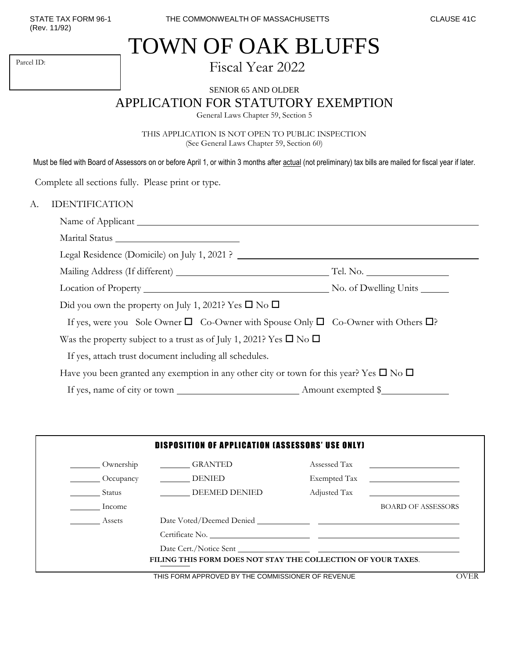(Rev. 11/92)

Parcel ID:

## TOWN OF OAK BLUFFS

Fiscal Year 2022

SENIOR 65 AND OLDER

APPLICATION FOR STATUTORY EXEMPTION

General Laws Chapter 59, Section 5

THIS APPLICATION IS NOT OPEN TO PUBLIC INSPECTION (See General Laws Chapter 59, Section 60)

Must be filed with Board of Assessors on or before April 1, or within 3 months after actual (not preliminary) tax bills are mailed for fiscal year if later.

Complete all sections fully. Please print or type.

## A. IDENTIFICATION

| Legal Residence (Domicile) on July 1, 2021 ?                                                               |  |
|------------------------------------------------------------------------------------------------------------|--|
|                                                                                                            |  |
|                                                                                                            |  |
| Did you own the property on July 1, 2021? Yes $\square$ No $\square$                                       |  |
| If yes, were you Sole Owner $\square$ Co-Owner with Spouse Only $\square$ Co-Owner with Others $\square$ ? |  |
| Was the property subject to a trust as of July 1, 2021? Yes $\square$ No $\square$                         |  |
| If yes, attach trust document including all schedules.                                                     |  |
| Have you been granted any exemption in any other city or town for this year? Yes $\square$ No $\square$    |  |
|                                                                                                            |  |

|                         | <b>DISPOSITION OF APPLICATION (ASSESSORS' USE ONLY)</b>      |              |                                                                                           |
|-------------------------|--------------------------------------------------------------|--------------|-------------------------------------------------------------------------------------------|
| Ownership               | <b>GRANTED</b>                                               | Assessed Tax |                                                                                           |
| Occupancy               | DENIED                                                       | Exempted Tax | the control of the control of the control of the control of the control of the control of |
| <b>Status</b>           | <b>DEEMED DENIED</b>                                         | Adjusted Tax |                                                                                           |
| <b>Example 1</b> Income |                                                              |              | <b>BOARD OF ASSESSORS</b>                                                                 |
| Assets                  |                                                              |              |                                                                                           |
|                         |                                                              |              |                                                                                           |
|                         |                                                              |              |                                                                                           |
|                         | FILING THIS FORM DOES NOT STAY THE COLLECTION OF YOUR TAXES. |              |                                                                                           |
|                         | THIS FOOM ADDDOUGD DV THE COMMOQUONED OF DEVENUE.            |              | $\triangle$                                                                               |

THIS FORM APPROVED BY THE COMMISSIONER OF REVENUE **EXAMPLE ASSAULT** OVER